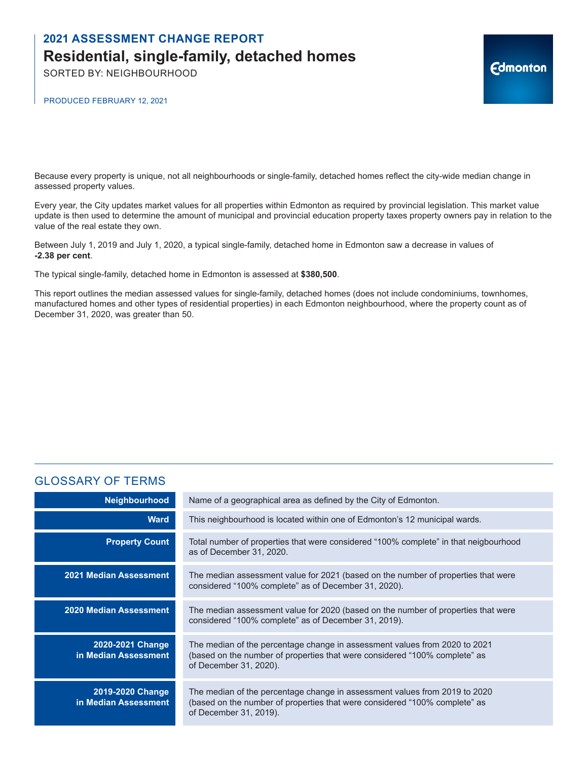SORTED BY: NEIGHBOURHOOD

PRODUCED FEBRUARY 12, 2021

Because every property is unique, not all neighbourhoods or single-family, detached homes reflect the city-wide median change in assessed property values.

Every year, the City updates market values for all properties within Edmonton as required by provincial legislation. This market value update is then used to determine the amount of municipal and provincial education property taxes property owners pay in relation to the value of the real estate they own.

**Edmonton** 

Between July 1, 2019 and July 1, 2020, a typical single-family, detached home in Edmonton saw a decrease in values of **-2.38 per cent**.

The typical single-family, detached home in Edmonton is assessed at **\$380,500**.

This report outlines the median assessed values for single-family, detached homes (does not include condominiums, townhomes, manufactured homes and other types of residential properties) in each Edmonton neighbourhood, where the property count as of December 31, 2020, was greater than 50.

### GLOSSARY OF TERMS

| Neighbourhood                            | Name of a geographical area as defined by the City of Edmonton.                                                                                                                    |
|------------------------------------------|------------------------------------------------------------------------------------------------------------------------------------------------------------------------------------|
| <b>Ward</b>                              | This neighbourhood is located within one of Edmonton's 12 municipal wards.                                                                                                         |
| <b>Property Count</b>                    | Total number of properties that were considered "100% complete" in that neigbourhood<br>as of December 31, 2020.                                                                   |
| <b>2021 Median Assessment</b>            | The median assessment value for 2021 (based on the number of properties that were<br>considered "100% complete" as of December 31, 2020).                                          |
| <b>2020 Median Assessment</b>            | The median assessment value for 2020 (based on the number of properties that were<br>considered "100% complete" as of December 31, 2019).                                          |
| 2020-2021 Change<br>in Median Assessment | The median of the percentage change in assessment values from 2020 to 2021<br>(based on the number of properties that were considered "100% complete" as<br>of December 31, 2020). |
| 2019-2020 Change<br>in Median Assessment | The median of the percentage change in assessment values from 2019 to 2020<br>(based on the number of properties that were considered "100% complete" as<br>of December 31, 2019). |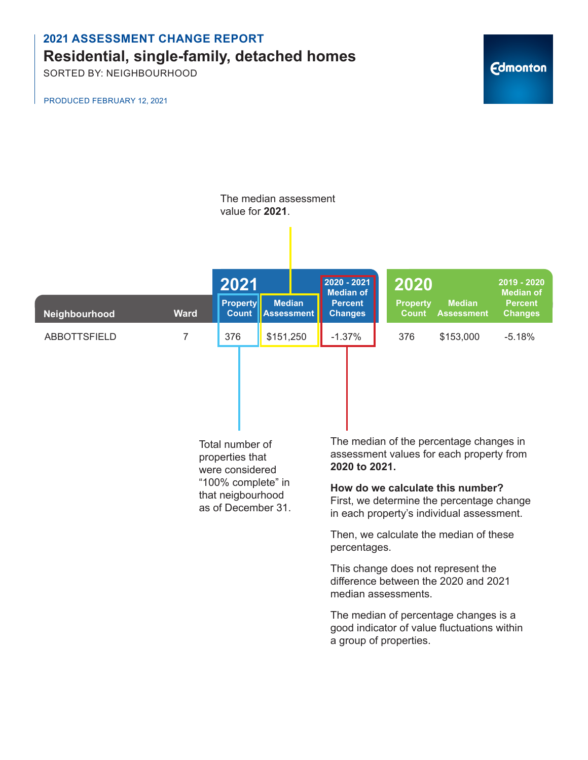SORTED BY: NEIGHBOURHOOD

PRODUCED FEBRUARY 12, 2021

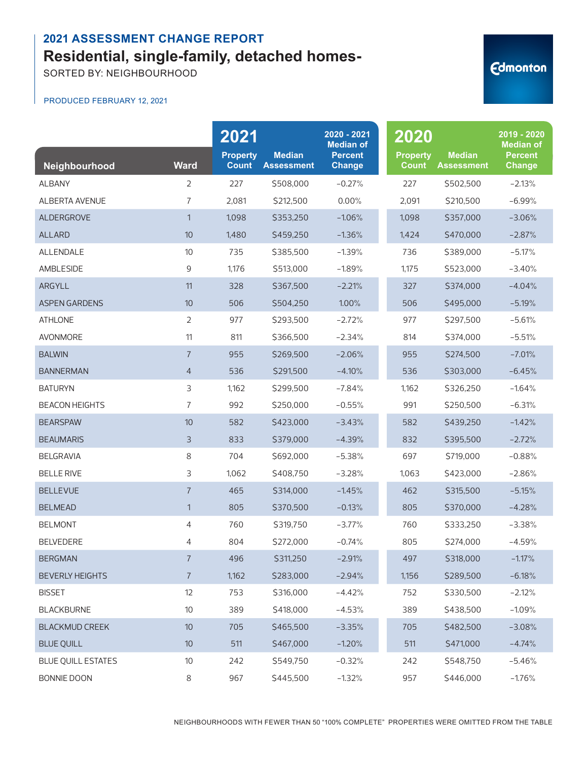SORTED BY: NEIGHBOURHOOD

#### PRODUCED FEBRUARY 12, 2021

| Neighbourhood             | <b>Ward</b>    | 2021<br><b>Property</b><br><b>Count</b> | <b>Median</b><br><b>Assessment</b> | 2020 - 2021<br><b>Median of</b><br><b>Percent</b><br><b>Change</b> | 2020<br><b>Property</b><br><b>Count</b> | <b>Median</b><br><b>Assessment</b> | 2019 - 2020<br><b>Median of</b><br><b>Percent</b><br><b>Change</b> |
|---------------------------|----------------|-----------------------------------------|------------------------------------|--------------------------------------------------------------------|-----------------------------------------|------------------------------------|--------------------------------------------------------------------|
| <b>ALBANY</b>             | $\overline{2}$ | 227                                     | \$508,000                          | $-0.27%$                                                           | 227                                     | \$502,500                          | $-2.13%$                                                           |
| ALBERTA AVENUE            | $\overline{7}$ | 2,081                                   | \$212,500                          | 0.00%                                                              | 2,091                                   | \$210,500                          | $-6.99%$                                                           |
| ALDERGROVE                | $\mathbf{1}$   | 1,098                                   | \$353,250                          | $-1.06%$                                                           | 1,098                                   | \$357,000                          | $-3.06%$                                                           |
| <b>ALLARD</b>             | 10             | 1,480                                   | \$459,250                          | $-1.36%$                                                           | 1,424                                   | \$470,000                          | $-2.87%$                                                           |
| ALLENDALE                 | 10             | 735                                     | \$385,500                          | $-1.39%$                                                           | 736                                     | \$389,000                          | $-5.17%$                                                           |
| AMBLESIDE                 | 9              | 1,176                                   | \$513,000                          | $-1.89%$                                                           | 1,175                                   | \$523,000                          | $-3.40%$                                                           |
| ARGYLL                    | 11             | 328                                     | \$367,500                          | $-2.21%$                                                           | 327                                     | \$374,000                          | $-4.04%$                                                           |
| <b>ASPEN GARDENS</b>      | 10             | 506                                     | \$504,250                          | 1.00%                                                              | 506                                     | \$495,000                          | $-5.19%$                                                           |
| <b>ATHLONE</b>            | 2              | 977                                     | \$293,500                          | $-2.72%$                                                           | 977                                     | \$297,500                          | $-5.61%$                                                           |
| <b>AVONMORE</b>           | 11             | 811                                     | \$366,500                          | $-2.34%$                                                           | 814                                     | \$374.000                          | $-5.51%$                                                           |
| <b>BALWIN</b>             | $\overline{7}$ | 955                                     | \$269,500                          | $-2.06%$                                                           | 955                                     | \$274,500                          | $-7.01%$                                                           |
| <b>BANNERMAN</b>          | $\overline{4}$ | 536                                     | \$291,500                          | $-4.10%$                                                           | 536                                     | \$303,000                          | $-6.45%$                                                           |
| <b>BATURYN</b>            | 3              | 1,162                                   | \$299,500                          | $-7.84%$                                                           | 1,162                                   | \$326,250                          | $-1.64%$                                                           |
| <b>BEACON HEIGHTS</b>     | 7              | 992                                     | \$250,000                          | $-0.55%$                                                           | 991                                     | \$250,500                          | $-6.31%$                                                           |
| <b>BEARSPAW</b>           | 10             | 582                                     | \$423,000                          | $-3.43%$                                                           | 582                                     | \$439,250                          | $-1.42%$                                                           |
| <b>BEAUMARIS</b>          | 3              | 833                                     | \$379,000                          | $-4.39%$                                                           | 832                                     | \$395,500                          | $-2.72%$                                                           |
| <b>BELGRAVIA</b>          | 8              | 704                                     | \$692,000                          | $-5.38%$                                                           | 697                                     | \$719,000                          | $-0.88%$                                                           |
| <b>BELLE RIVE</b>         | 3              | 1,062                                   | \$408,750                          | $-3.28%$                                                           | 1,063                                   | \$423,000                          | $-2.86%$                                                           |
| <b>BELLEVUE</b>           | $\overline{7}$ | 465                                     | \$314,000                          | $-1.45%$                                                           | 462                                     | \$315,500                          | $-5.15%$                                                           |
| <b>BELMEAD</b>            | $\mathbf{1}$   | 805                                     | \$370,500                          | $-0.13%$                                                           | 805                                     | \$370,000                          | $-4.28%$                                                           |
| <b>BELMONT</b>            | 4              | 760                                     | \$319,750                          | $-3.77%$                                                           | 760                                     | \$333,250                          | $-3.38%$                                                           |
| <b>BELVEDERE</b>          | 4              | 804                                     | \$272,000                          | $-0.74%$                                                           | 805                                     | \$274,000                          | $-4.59%$                                                           |
| <b>BERGMAN</b>            | $\overline{7}$ | 496                                     | \$311,250                          | $-2.91%$                                                           | 497                                     | \$318,000                          | $-1.17%$                                                           |
| <b>BEVERLY HEIGHTS</b>    | $\overline{7}$ | 1,162                                   | \$283,000                          | $-2.94%$                                                           | 1,156                                   | \$289,500                          | $-6.18%$                                                           |
| <b>BISSET</b>             | 12             | 753                                     | \$316,000                          | $-4.42%$                                                           | 752                                     | \$330,500                          | $-2.12%$                                                           |
| <b>BLACKBURNE</b>         | $10$           | 389                                     | \$418,000                          | $-4.53%$                                                           | 389                                     | \$438,500                          | $-1.09%$                                                           |
| <b>BLACKMUD CREEK</b>     | 10             | 705                                     | \$465,500                          | $-3.35%$                                                           | 705                                     | \$482,500                          | $-3.08%$                                                           |
| <b>BLUE QUILL</b>         | $10$           | 511                                     | \$467,000                          | $-1.20%$                                                           | 511                                     | \$471,000                          | $-4.74%$                                                           |
| <b>BLUE QUILL ESTATES</b> | $10$           | 242                                     | \$549,750                          | $-0.32%$                                                           | 242                                     | \$548,750                          | $-5.46%$                                                           |
| BONNIE DOON               | 8              | 967                                     | \$445,500                          | $-1.32%$                                                           | 957                                     | \$446,000                          | $-1.76%$                                                           |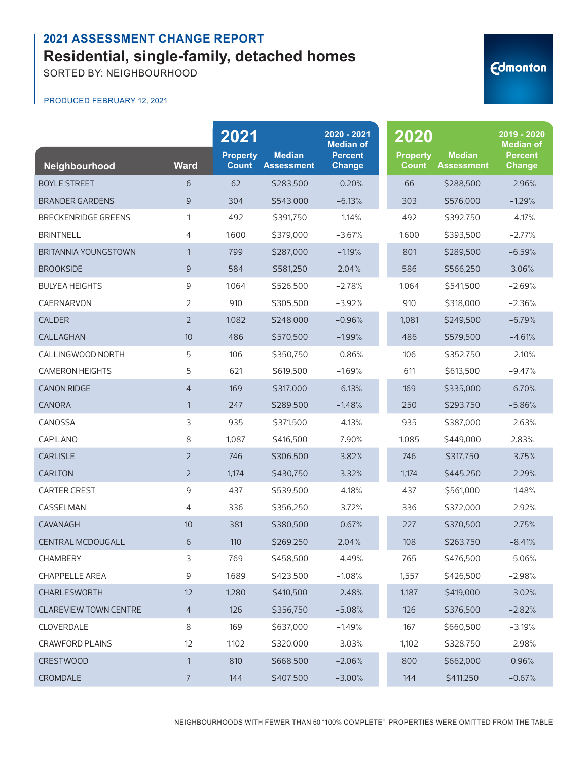SORTED BY: NEIGHBOURHOOD

#### PRODUCED FEBRUARY 12, 2021

| Neighbourhood              | <b>Ward</b>    | 2021<br><b>Property</b><br><b>Count</b> | <b>Median</b><br><b>Assessment</b> | 2020 - 2021<br><b>Median of</b><br><b>Percent</b><br><b>Change</b> | 2020<br><b>Property</b><br><b>Count</b> | <b>Median</b><br><b>Assessment</b> | 2019 - 2020<br><b>Median of</b><br><b>Percent</b><br><b>Change</b> |
|----------------------------|----------------|-----------------------------------------|------------------------------------|--------------------------------------------------------------------|-----------------------------------------|------------------------------------|--------------------------------------------------------------------|
| <b>BOYLE STREET</b>        | 6              | 62                                      | \$283,500                          | $-0.20%$                                                           | 66                                      | \$288,500                          | $-2.96%$                                                           |
| <b>BRANDER GARDENS</b>     | 9              | 304                                     | \$543,000                          | $-6.13%$                                                           | 303                                     | \$576,000                          | $-1.29%$                                                           |
| <b>BRECKENRIDGE GREENS</b> | 1              | 492                                     | \$391,750                          | $-1.14%$                                                           | 492                                     | \$392,750                          | $-4.17%$                                                           |
| <b>BRINTNELL</b>           | 4              | 1,600                                   | \$379,000                          | $-3.67%$                                                           | 1,600                                   | \$393,500                          | $-2.77%$                                                           |
| BRITANNIA YOUNGSTOWN       | $\mathbf{1}$   | 799                                     | \$287,000                          | $-1.19%$                                                           | 801                                     | \$289,500                          | $-6.59%$                                                           |
| <b>BROOKSIDE</b>           | 9              | 584                                     | \$581,250                          | 2.04%                                                              | 586                                     | \$566,250                          | 3.06%                                                              |
| <b>BULYEA HEIGHTS</b>      | 9              | 1,064                                   | \$526,500                          | $-2.78%$                                                           | 1,064                                   | \$541,500                          | $-2.69%$                                                           |
| CAERNARVON                 | 2              | 910                                     | \$305,500                          | $-3.92%$                                                           | 910                                     | \$318,000                          | $-2.36%$                                                           |
| <b>CALDER</b>              | $\overline{2}$ | 1,082                                   | \$248,000                          | $-0.96%$                                                           | 1,081                                   | \$249,500                          | $-6.79%$                                                           |
| CALLAGHAN                  | 10             | 486                                     | \$570,500                          | $-1.99%$                                                           | 486                                     | \$579,500                          | $-4.61%$                                                           |
| CALLINGWOOD NORTH          | 5              | 106                                     | \$350,750                          | $-0.86%$                                                           | 106                                     | \$352,750                          | $-2.10%$                                                           |
| <b>CAMERON HEIGHTS</b>     | 5              | 621                                     | \$619,500                          | $-1.69%$                                                           | 611                                     | \$613,500                          | $-9.47%$                                                           |
| <b>CANON RIDGE</b>         | $\overline{4}$ | 169                                     | \$317,000                          | $-6.13%$                                                           | 169                                     | \$335,000                          | $-6.70%$                                                           |
| <b>CANORA</b>              | $\mathbf{1}$   | 247                                     | \$289,500                          | $-1.48%$                                                           | 250                                     | \$293,750                          | $-5.86%$                                                           |
| CANOSSA                    | 3              | 935                                     | \$371,500                          | $-4.13%$                                                           | 935                                     | \$387,000                          | $-2.63%$                                                           |
| CAPILANO                   | 8              | 1,087                                   | \$416,500                          | $-7.90%$                                                           | 1,085                                   | \$449,000                          | 2.83%                                                              |
| <b>CARLISLE</b>            | $\overline{2}$ | 746                                     | \$306,500                          | $-3.82%$                                                           | 746                                     | \$317,750                          | $-3.75%$                                                           |
| <b>CARLTON</b>             | $\overline{2}$ | 1,174                                   | \$430,750                          | $-3.32%$                                                           | 1,174                                   | \$445,250                          | $-2.29%$                                                           |
| <b>CARTER CREST</b>        | 9              | 437                                     | \$539,500                          | $-4.18%$                                                           | 437                                     | \$561,000                          | $-1.48%$                                                           |
| CASSELMAN                  | 4              | 336                                     | \$356,250                          | $-3.72%$                                                           | 336                                     | \$372,000                          | $-2.92%$                                                           |
| CAVANAGH                   | 10             | 381                                     | \$380,500                          | $-0.67%$                                                           | 227                                     | \$370,500                          | $-2.75%$                                                           |
| <b>CENTRAL MCDOUGALL</b>   | 6              | 110                                     | \$269,250                          | 2.04%                                                              | 108                                     | \$263,750                          | $-8.41%$                                                           |
| <b>CHAMBERY</b>            | 3              | 769                                     | \$458,500                          | $-4.49%$                                                           | 765                                     | \$476,500                          | $-5.06%$                                                           |
| CHAPPELLE AREA             | 9              | 1,689                                   | \$423,500                          | $-1.08%$                                                           | 1,557                                   | \$426,500                          | $-2.98%$                                                           |
| CHARLESWORTH               | 12             | 1,280                                   | \$410,500                          | $-2.48%$                                                           | 1,187                                   | \$419,000                          | $-3.02%$                                                           |
| CLAREVIEW TOWN CENTRE      | $\overline{4}$ | 126                                     | \$356,750                          | $-5.08%$                                                           | 126                                     | \$376,500                          | $-2.82%$                                                           |
| CLOVERDALE                 | 8              | 169                                     | \$637,000                          | $-1.49%$                                                           | 167                                     | \$660,500                          | $-3.19%$                                                           |
| CRAWFORD PLAINS            | 12             | 1,102                                   | \$320,000                          | $-3.03%$                                                           | 1,102                                   | \$328,750                          | $-2.98%$                                                           |
| <b>CRESTWOOD</b>           | $\mathbf{1}$   | 810                                     | \$668,500                          | $-2.06%$                                                           | 800                                     | \$662,000                          | 0.96%                                                              |
| CROMDALE                   | 7              | 144                                     | \$407,500                          | $-3.00%$                                                           | 144                                     | \$411,250                          | $-0.67%$                                                           |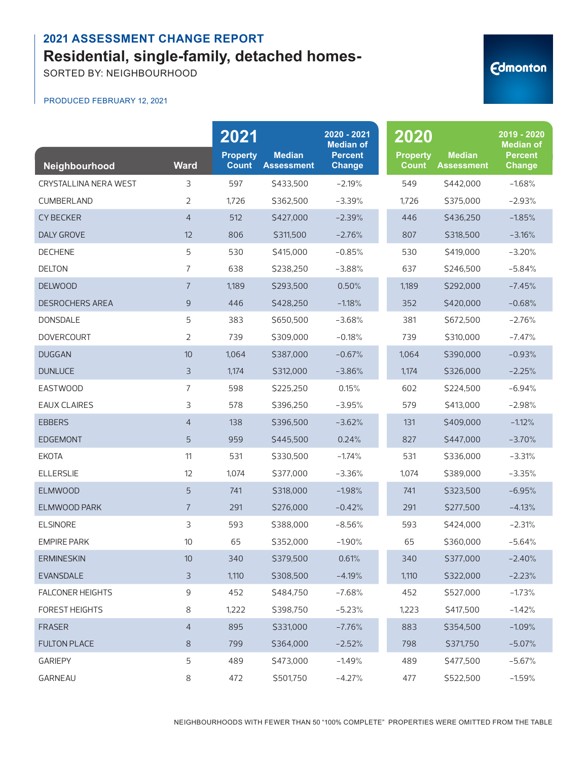SORTED BY: NEIGHBOURHOOD

#### PRODUCED FEBRUARY 12, 2021

| Neighbourhood           | <b>Ward</b>    | 2021<br><b>Property</b><br><b>Count</b> | <b>Median</b><br><b>Assessment</b> | 2020 - 2021<br><b>Median of</b><br><b>Percent</b><br><b>Change</b> | 2020<br><b>Property</b><br><b>Count</b> | <b>Median</b><br><b>Assessment</b> | 2019 - 2020<br><b>Median of</b><br><b>Percent</b><br><b>Change</b> |
|-------------------------|----------------|-----------------------------------------|------------------------------------|--------------------------------------------------------------------|-----------------------------------------|------------------------------------|--------------------------------------------------------------------|
| CRYSTALLINA NERA WEST   | 3              | 597                                     | \$433,500                          | $-2.19%$                                                           | 549                                     | \$442,000                          | $-1.68%$                                                           |
| <b>CUMBERLAND</b>       | $\overline{2}$ | 1,726                                   | \$362,500                          | $-3.39%$                                                           | 1,726                                   | \$375,000                          | $-2.93%$                                                           |
| <b>CY BECKER</b>        | $\overline{4}$ | 512                                     | \$427,000                          | $-2.39%$                                                           | 446                                     | S436.250                           | $-1.85%$                                                           |
| <b>DALY GROVE</b>       | 12             | 806                                     | \$311,500                          | $-2.76%$                                                           | 807                                     | \$318,500                          | $-3.16%$                                                           |
| <b>DECHENE</b>          | 5              | 530                                     | \$415,000                          | $-0.85%$                                                           | 530                                     | \$419,000                          | $-3.20%$                                                           |
| <b>DELTON</b>           | 7              | 638                                     | \$238,250                          | $-3.88%$                                                           | 637                                     | \$246,500                          | $-5.84%$                                                           |
| <b>DELWOOD</b>          | $\overline{7}$ | 1,189                                   | \$293,500                          | 0.50%                                                              | 1,189                                   | \$292,000                          | $-7.45%$                                                           |
| <b>DESROCHERS AREA</b>  | 9              | 446                                     | \$428,250                          | $-1.18%$                                                           | 352                                     | \$420,000                          | $-0.68%$                                                           |
| <b>DONSDALE</b>         | 5              | 383                                     | \$650,500                          | $-3.68%$                                                           | 381                                     | \$672,500                          | $-2.76%$                                                           |
| <b>DOVERCOURT</b>       | 2              | 739                                     | \$309,000                          | $-0.18%$                                                           | 739                                     | \$310,000                          | $-7.47%$                                                           |
| <b>DUGGAN</b>           | 10             | 1,064                                   | \$387,000                          | $-0.67%$                                                           | 1,064                                   | \$390,000                          | $-0.93%$                                                           |
| <b>DUNLUCE</b>          | 3              | 1,174                                   | \$312,000                          | $-3.86%$                                                           | 1,174                                   | \$326,000                          | $-2.25%$                                                           |
| <b>EASTWOOD</b>         | 7              | 598                                     | \$225,250                          | 0.15%                                                              | 602                                     | \$224,500                          | $-6.94%$                                                           |
| <b>EAUX CLAIRES</b>     | 3              | 578                                     | \$396,250                          | $-3.95%$                                                           | 579                                     | \$413,000                          | $-2.98%$                                                           |
| <b>EBBERS</b>           | $\overline{4}$ | 138                                     | \$396,500                          | $-3.62%$                                                           | 131                                     | \$409,000                          | $-1.12%$                                                           |
| <b>EDGEMONT</b>         | 5              | 959                                     | \$445,500                          | 0.24%                                                              | 827                                     | \$447,000                          | $-3.70%$                                                           |
| <b>EKOTA</b>            | 11             | 531                                     | \$330,500                          | $-1.74%$                                                           | 531                                     | \$336,000                          | $-3.31%$                                                           |
| <b>ELLERSLIE</b>        | 12             | 1,074                                   | \$377,000                          | $-3.36%$                                                           | 1,074                                   | \$389,000                          | $-3.35%$                                                           |
| <b>ELMWOOD</b>          | 5              | 741                                     | \$318,000                          | $-1.98%$                                                           | 741                                     | \$323,500                          | $-6.95%$                                                           |
| <b>ELMWOOD PARK</b>     | $\overline{7}$ | 291                                     | \$276,000                          | $-0.42%$                                                           | 291                                     | \$277,500                          | $-4.13%$                                                           |
| <b>ELSINORE</b>         | 3              | 593                                     | \$388,000                          | $-8.56%$                                                           | 593                                     | \$424,000                          | $-2.31%$                                                           |
| <b>EMPIRE PARK</b>      | 10             | 65                                      | \$352,000                          | $-1.90%$                                                           | 65                                      | \$360,000                          | $-5.64%$                                                           |
| <b>ERMINESKIN</b>       | $10$           | 340                                     | \$379,500                          | 0.61%                                                              | 340                                     | \$377,000                          | $-2.40%$                                                           |
| <b>EVANSDALE</b>        | 3              | 1,110                                   | \$308,500                          | $-4.19%$                                                           | 1,110                                   | \$322,000                          | $-2.23%$                                                           |
| <b>FALCONER HEIGHTS</b> | 9              | 452                                     | \$484,750                          | $-7.68%$                                                           | 452                                     | \$527,000                          | $-1.73%$                                                           |
| <b>FOREST HEIGHTS</b>   | 8              | 1,222                                   | \$398,750                          | $-5.23%$                                                           | 1,223                                   | \$417,500                          | $-1.42%$                                                           |
| <b>FRASER</b>           | $\overline{4}$ | 895                                     | \$331,000                          | $-7.76%$                                                           | 883                                     | \$354,500                          | $-1.09%$                                                           |
| <b>FULTON PLACE</b>     | $\,8\,$        | 799                                     | \$364,000                          | $-2.52%$                                                           | 798                                     | \$371,750                          | $-5.07%$                                                           |
| <b>GARIEPY</b>          | 5              | 489                                     | \$473,000                          | $-1.49%$                                                           | 489                                     | \$477,500                          | $-5.67%$                                                           |
| GARNEAU                 | 8              | 472                                     | \$501,750                          | $-4.27%$                                                           | 477                                     | \$522,500                          | $-1.59%$                                                           |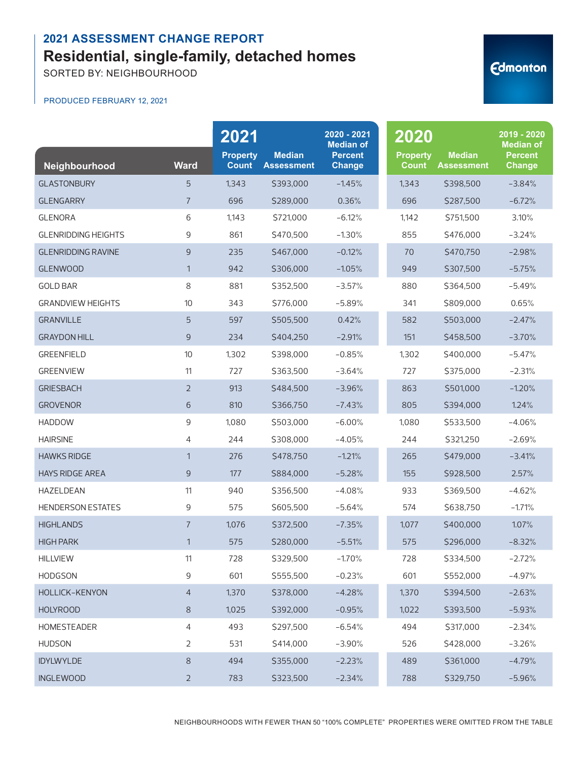SORTED BY: NEIGHBOURHOOD

#### PRODUCED FEBRUARY 12, 2021

| Neighbourhood              | <b>Ward</b>    | 2021<br><b>Property</b><br><b>Count</b> | <b>Median</b><br><b>Assessment</b> | 2020 - 2021<br><b>Median of</b><br><b>Percent</b><br><b>Change</b> | 2020<br><b>Property</b><br><b>Count</b> | <b>Median</b><br><b>Assessment</b> | 2019 - 2020<br><b>Median of</b><br><b>Percent</b><br>Change |
|----------------------------|----------------|-----------------------------------------|------------------------------------|--------------------------------------------------------------------|-----------------------------------------|------------------------------------|-------------------------------------------------------------|
| <b>GLASTONBURY</b>         | 5              | 1,343                                   | \$393,000                          | $-1.45%$                                                           | 1,343                                   | \$398,500                          | $-3.84%$                                                    |
| <b>GLENGARRY</b>           | $\overline{7}$ | 696                                     | \$289,000                          | 0.36%                                                              | 696                                     | \$287,500                          | $-6.72%$                                                    |
| <b>GLENORA</b>             | 6              | 1,143                                   | S721.000                           | $-6.12%$                                                           | 1,142                                   | \$751,500                          | 3.10%                                                       |
| <b>GLENRIDDING HEIGHTS</b> | 9              | 861                                     | \$470,500                          | $-1.30%$                                                           | 855                                     | \$476,000                          | $-3.24%$                                                    |
| <b>GLENRIDDING RAVINE</b>  | 9              | 235                                     | \$467,000                          | $-0.12%$                                                           | 70                                      | S470.750                           | $-2.98%$                                                    |
| <b>GLENWOOD</b>            | $\mathbf{1}$   | 942                                     | \$306,000                          | $-1.05%$                                                           | 949                                     | \$307,500                          | $-5.75%$                                                    |
| <b>GOLD BAR</b>            | 8              | 881                                     | \$352,500                          | $-3.57%$                                                           | 880                                     | \$364,500                          | $-5.49%$                                                    |
| <b>GRANDVIEW HEIGHTS</b>   | 10             | 343                                     | \$776,000                          | $-5.89%$                                                           | 341                                     | \$809,000                          | 0.65%                                                       |
| <b>GRANVILLE</b>           | 5              | 597                                     | \$505,500                          | 0.42%                                                              | 582                                     | \$503,000                          | $-2.47%$                                                    |
| <b>GRAYDON HILL</b>        | 9              | 234                                     | \$404,250                          | $-2.91%$                                                           | 151                                     | \$458,500                          | $-3.70%$                                                    |
| <b>GREENFIELD</b>          | 10             | 1,302                                   | \$398,000                          | $-0.85%$                                                           | 1,302                                   | \$400,000                          | $-5.47%$                                                    |
| <b>GREENVIEW</b>           | 11             | 727                                     | \$363,500                          | $-3.64%$                                                           | 727                                     | \$375,000                          | $-2.31%$                                                    |
| <b>GRIESBACH</b>           | $\overline{2}$ | 913                                     | \$484,500                          | $-3.96%$                                                           | 863                                     | \$501,000                          | $-1.20%$                                                    |
| <b>GROVENOR</b>            | 6              | 810                                     | \$366,750                          | $-7.43%$                                                           | 805                                     | \$394,000                          | 1.24%                                                       |
| <b>HADDOW</b>              | 9              | 1,080                                   | \$503,000                          | $-6.00%$                                                           | 1,080                                   | \$533,500                          | $-4.06%$                                                    |
| <b>HAIRSINE</b>            | 4              | 244                                     | \$308,000                          | $-4.05%$                                                           | 244                                     | \$321,250                          | $-2.69%$                                                    |
| <b>HAWKS RIDGE</b>         | $\mathbf{1}$   | 276                                     | \$478,750                          | $-1.21%$                                                           | 265                                     | \$479,000                          | $-3.41%$                                                    |
| <b>HAYS RIDGE AREA</b>     | 9              | 177                                     | \$884,000                          | $-5.28%$                                                           | 155                                     | \$928,500                          | 2.57%                                                       |
| HAZELDEAN                  | 11             | 940                                     | \$356,500                          | $-4.08%$                                                           | 933                                     | \$369,500                          | $-4.62%$                                                    |
| <b>HENDERSON ESTATES</b>   | 9              | 575                                     | \$605,500                          | $-5.64%$                                                           | 574                                     | \$638,750                          | $-1.71%$                                                    |
| <b>HIGHLANDS</b>           | $\overline{7}$ | 1,076                                   | \$372,500                          | $-7.35%$                                                           | 1,077                                   | \$400,000                          | 1.07%                                                       |
| <b>HIGH PARK</b>           | $\mathbf{1}$   | 575                                     | \$280,000                          | $-5.51%$                                                           | 575                                     | \$296,000                          | $-8.32%$                                                    |
| <b>HILLVIEW</b>            | 11             | 728                                     | \$329,500                          | $-1.70%$                                                           | 728                                     | \$334,500                          | $-2.72%$                                                    |
| HODGSON                    | 9              | 601                                     | \$555,500                          | $-0.23%$                                                           | 601                                     | \$552,000                          | $-4.97%$                                                    |
| HOLLICK-KENYON             | $\overline{4}$ | 1,370                                   | \$378,000                          | $-4.28%$                                                           | 1,370                                   | \$394,500                          | $-2.63%$                                                    |
| <b>HOLYROOD</b>            | $8\,$          | 1,025                                   | \$392,000                          | $-0.95%$                                                           | 1,022                                   | \$393,500                          | $-5.93%$                                                    |
| HOMESTEADER                | 4              | 493                                     | \$297,500                          | $-6.54%$                                                           | 494                                     | \$317,000                          | $-2.34%$                                                    |
| <b>HUDSON</b>              | $\overline{2}$ | 531                                     | \$414,000                          | $-3.90%$                                                           | 526                                     | \$428,000                          | $-3.26%$                                                    |
| <b>IDYLWYLDE</b>           | $8\,$          | 494                                     | \$355,000                          | $-2.23%$                                                           | 489                                     | \$361,000                          | $-4.79%$                                                    |
| <b>INGLEWOOD</b>           | $\overline{2}$ | 783                                     | \$323,500                          | $-2.34%$                                                           | 788                                     | \$329,750                          | $-5.96%$                                                    |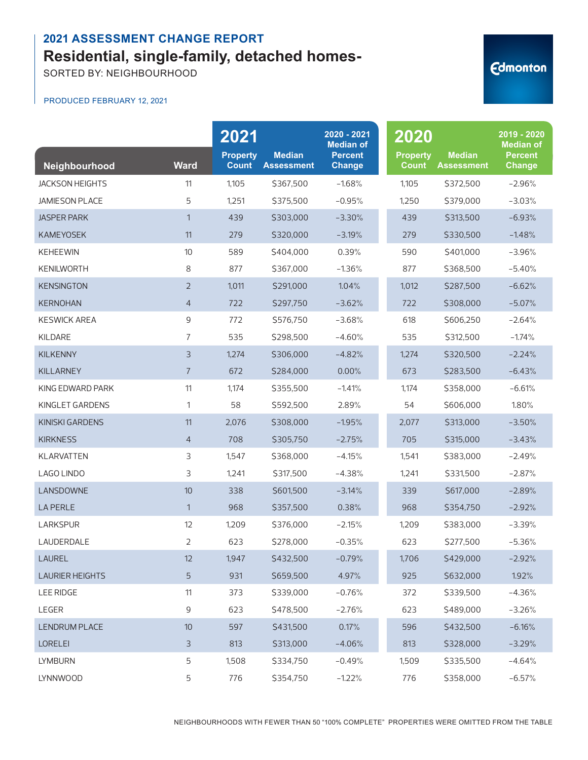SORTED BY: NEIGHBOURHOOD

#### PRODUCED FEBRUARY 12, 2021

| Neighbourhood          | <b>Ward</b>    | 2021<br><b>Property</b><br><b>Count</b> | <b>Median</b><br><b>Assessment</b> | 2020 - 2021<br><b>Median of</b><br><b>Percent</b><br><b>Change</b> | 2020<br><b>Property</b><br><b>Count</b> | <b>Median</b><br><b>Assessment</b> | 2019 - 2020<br><b>Median of</b><br><b>Percent</b><br><b>Change</b> |
|------------------------|----------------|-----------------------------------------|------------------------------------|--------------------------------------------------------------------|-----------------------------------------|------------------------------------|--------------------------------------------------------------------|
| <b>JACKSON HEIGHTS</b> | 11             | 1,105                                   | \$367,500                          | $-1.68%$                                                           | 1,105                                   | \$372,500                          | $-2.96%$                                                           |
| <b>JAMIESON PLACE</b>  | 5              | 1,251                                   | \$375,500                          | $-0.95%$                                                           | 1,250                                   | \$379,000                          | $-3.03%$                                                           |
| <b>JASPER PARK</b>     | $\mathbf{1}$   | 439                                     | \$303,000                          | $-3.30%$                                                           | 439                                     | \$313,500                          | $-6.93%$                                                           |
| <b>KAMEYOSEK</b>       | 11             | 279                                     | \$320,000                          | $-3.19%$                                                           | 279                                     | \$330,500                          | $-1.48%$                                                           |
| <b>KEHEEWIN</b>        | 10             | 589                                     | \$404,000                          | 0.39%                                                              | 590                                     | \$401,000                          | $-3.96%$                                                           |
| <b>KENILWORTH</b>      | 8              | 877                                     | \$367,000                          | $-1.36%$                                                           | 877                                     | \$368,500                          | $-5.40%$                                                           |
| <b>KENSINGTON</b>      | $\overline{2}$ | 1,011                                   | \$291,000                          | 1.04%                                                              | 1,012                                   | \$287,500                          | $-6.62%$                                                           |
| <b>KERNOHAN</b>        | 4              | 722                                     | \$297,750                          | $-3.62%$                                                           | 722                                     | \$308,000                          | $-5.07%$                                                           |
| <b>KESWICK AREA</b>    | 9              | 772                                     | \$576.750                          | $-3.68%$                                                           | 618                                     | \$606,250                          | $-2.64%$                                                           |
| KILDARE                | 7              | 535                                     | \$298,500                          | $-4.60%$                                                           | 535                                     | \$312,500                          | $-1.74%$                                                           |
| <b>KILKENNY</b>        | 3              | 1,274                                   | \$306,000                          | $-4.82%$                                                           | 1,274                                   | \$320,500                          | $-2.24%$                                                           |
| <b>KILLARNEY</b>       | $\overline{7}$ | 672                                     | \$284,000                          | 0.00%                                                              | 673                                     | \$283,500                          | $-6.43%$                                                           |
| KING EDWARD PARK       | 11             | 1,174                                   | \$355,500                          | $-1.41%$                                                           | 1,174                                   | \$358,000                          | $-6.61%$                                                           |
| KINGLET GARDENS        | 1              | 58                                      | \$592,500                          | 2.89%                                                              | 54                                      | \$606,000                          | 1.80%                                                              |
| <b>KINISKI GARDENS</b> | 11             | 2,076                                   | \$308,000                          | $-1.95%$                                                           | 2,077                                   | \$313,000                          | $-3.50%$                                                           |
| <b>KIRKNESS</b>        | 4              | 708                                     | \$305,750                          | $-2.75%$                                                           | 705                                     | \$315,000                          | $-3.43%$                                                           |
| <b>KLARVATTEN</b>      | 3              | 1,547                                   | \$368,000                          | $-4.15%$                                                           | 1,541                                   | \$383,000                          | $-2.49%$                                                           |
| LAGO LINDO             | 3              | 1,241                                   | \$317,500                          | $-4.38%$                                                           | 1,241                                   | \$331,500                          | $-2.87%$                                                           |
| LANSDOWNE              | 10             | 338                                     | \$601,500                          | $-3.14%$                                                           | 339                                     | \$617,000                          | $-2.89%$                                                           |
| <b>LA PERLE</b>        | $\mathbf{1}$   | 968                                     | \$357,500                          | 0.38%                                                              | 968                                     | \$354,750                          | $-2.92%$                                                           |
| <b>LARKSPUR</b>        | 12             | 1,209                                   | \$376,000                          | $-2.15%$                                                           | 1,209                                   | \$383,000                          | $-3.39%$                                                           |
| LAUDERDALE             | 2              | 623                                     | \$278,000                          | $-0.35%$                                                           | 623                                     | \$277,500                          | $-5.36%$                                                           |
| LAUREL                 | 12             | 1,947                                   | \$432,500                          | $-0.79%$                                                           | 1,706                                   | \$429,000                          | $-2.92%$                                                           |
| <b>LAURIER HEIGHTS</b> | 5              | 931                                     | \$659,500                          | 4.97%                                                              | 925                                     | \$632,000                          | 1.92%                                                              |
| LEE RIDGE              | 11             | 373                                     | \$339,000                          | $-0.76%$                                                           | 372                                     | \$339,500                          | $-4.36%$                                                           |
| LEGER                  | 9              | 623                                     | \$478,500                          | $-2.76%$                                                           | 623                                     | \$489,000                          | $-3.26%$                                                           |
| LENDRUM PLACE          | 10             | 597                                     | \$431,500                          | 0.17%                                                              | 596                                     | \$432,500                          | $-6.16%$                                                           |
| <b>LORELEI</b>         | $\mathsf{3}$   | 813                                     | \$313,000                          | $-4.06%$                                                           | 813                                     | \$328,000                          | $-3.29%$                                                           |
| <b>LYMBURN</b>         | 5              | 1,508                                   | \$334,750                          | $-0.49%$                                                           | 1,509                                   | \$335,500                          | $-4.64%$                                                           |
| LYNNWOOD               | 5              | 776                                     | \$354,750                          | $-1.22%$                                                           | 776                                     | \$358,000                          | $-6.57%$                                                           |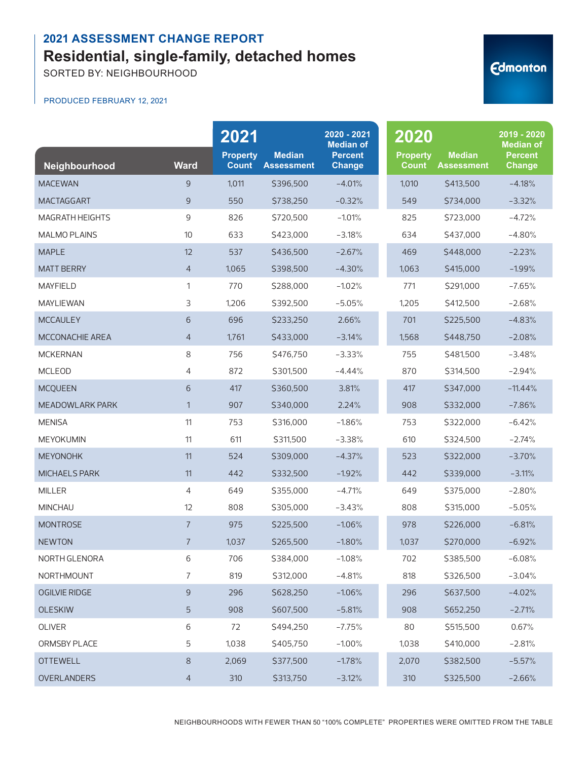SORTED BY: NEIGHBOURHOOD

# **Edmonton**

PRODUCED FEBRUARY 12, 2021

|                        |                 | 2021                            |                                    | 2020 - 2021<br><b>Median of</b> | 2020                            |                                    | 2019 - 2020<br><b>Median of</b> |
|------------------------|-----------------|---------------------------------|------------------------------------|---------------------------------|---------------------------------|------------------------------------|---------------------------------|
| Neighbourhood          | <b>Ward</b>     | <b>Property</b><br><b>Count</b> | <b>Median</b><br><b>Assessment</b> | <b>Percent</b><br><b>Change</b> | <b>Property</b><br><b>Count</b> | <b>Median</b><br><b>Assessment</b> | <b>Percent</b><br>Change        |
| <b>MACEWAN</b>         | 9               | 1,011                           | \$396,500                          | $-4.01%$                        | 1,010                           | \$413,500                          | $-4.18%$                        |
| <b>MACTAGGART</b>      | 9               | 550                             | \$738,250                          | $-0.32%$                        | 549                             | \$734,000                          | $-3.32%$                        |
| <b>MAGRATH HEIGHTS</b> | 9               | 826                             | \$720,500                          | $-1.01%$                        | 825                             | \$723,000                          | $-4.72%$                        |
| <b>MALMO PLAINS</b>    | 10              | 633                             | \$423,000                          | $-3.18%$                        | 634                             | \$437,000                          | $-4.80%$                        |
| <b>MAPLE</b>           | 12              | 537                             | \$436,500                          | $-2.67%$                        | 469                             | \$448,000                          | $-2.23%$                        |
| <b>MATT BERRY</b>      | $\overline{4}$  | 1,065                           | \$398,500                          | $-4.30%$                        | 1,063                           | \$415,000                          | $-1.99%$                        |
| <b>MAYFIELD</b>        | $\mathbf{1}$    | 770                             | \$288,000                          | $-1.02%$                        | 771                             | \$291,000                          | $-7.65%$                        |
| <b>MAYLIEWAN</b>       | 3               | 1,206                           | \$392,500                          | $-5.05%$                        | 1,205                           | \$412,500                          | $-2.68%$                        |
| <b>MCCAULEY</b>        | $6\phantom{1}6$ | 696                             | \$233,250                          | 2.66%                           | 701                             | \$225,500                          | $-4.83%$                        |
| <b>MCCONACHIE AREA</b> | $\overline{4}$  | 1,761                           | \$433,000                          | $-3.14%$                        | 1,568                           | \$448,750                          | $-2.08%$                        |
| <b>MCKERNAN</b>        | 8               | 756                             | \$476,750                          | $-3.33%$                        | 755                             | \$481,500                          | $-3.48%$                        |
| <b>MCLEOD</b>          | 4               | 872                             | \$301,500                          | $-4.44%$                        | 870                             | \$314,500                          | $-2.94%$                        |
| <b>MCQUEEN</b>         | $6\phantom{1}6$ | 417                             | \$360,500                          | 3.81%                           | 417                             | \$347,000                          | $-11.44%$                       |
| <b>MEADOWLARK PARK</b> | 1               | 907                             | \$340,000                          | 2.24%                           | 908                             | \$332,000                          | $-7.86%$                        |
| <b>MENISA</b>          | 11              | 753                             | \$316,000                          | $-1.86%$                        | 753                             | \$322,000                          | $-6.42%$                        |
| <b>MEYOKUMIN</b>       | 11              | 611                             | \$311,500                          | $-3.38%$                        | 610                             | \$324,500                          | $-2.74%$                        |
| <b>MEYONOHK</b>        | 11              | 524                             | \$309,000                          | $-4.37%$                        | 523                             | \$322,000                          | $-3.70%$                        |
| <b>MICHAELS PARK</b>   | 11              | 442                             | \$332,500                          | $-1.92%$                        | 442                             | \$339,000                          | $-3.11%$                        |
| <b>MILLER</b>          | $\overline{4}$  | 649                             | \$355,000                          | $-4.71%$                        | 649                             | \$375,000                          | $-2.80%$                        |
| <b>MINCHAU</b>         | 12              | 808                             | \$305,000                          | $-3.43%$                        | 808                             | \$315,000                          | $-5.05%$                        |
| <b>MONTROSE</b>        | $\overline{7}$  | 975                             | \$225,500                          | $-1.06%$                        | 978                             | \$226,000                          | $-6.81%$                        |
| <b>NEWTON</b>          | $\overline{7}$  | 1,037                           | \$265,500                          | $-1.80%$                        | 1,037                           | \$270,000                          | $-6.92%$                        |
| NORTH GLENORA          | 6               | 706                             | \$384,000                          | $-1.08%$                        | 702                             | \$385,500                          | $-6.08%$                        |
| NORTHMOUNT             | 7               | 819                             | \$312,000                          | $-4.81%$                        | 818                             | \$326,500                          | $-3.04%$                        |
| <b>OGILVIE RIDGE</b>   | $\mathsf 9$     | 296                             | \$628,250                          | $-1.06%$                        | 296                             | \$637,500                          | $-4.02%$                        |
| <b>OLESKIW</b>         | 5               | 908                             | \$607,500                          | $-5.81%$                        | 908                             | \$652,250                          | $-2.71%$                        |
| OLIVER                 | $6\,$           | 72                              | \$494,250                          | $-7.75%$                        | 80                              | \$515,500                          | 0.67%                           |
| ORMSBY PLACE           | 5               | 1,038                           | \$405,750                          | $-1.00%$                        | 1,038                           | \$410,000                          | $-2.81%$                        |
| <b>OTTEWELL</b>        | $\,8\,$         | 2,069                           | \$377,500                          | $-1.78%$                        | 2,070                           | \$382,500                          | $-5.57%$                        |
| OVERLANDERS            | $\overline{4}$  | 310                             | \$313,750                          | $-3.12%$                        | 310                             | \$325,500                          | $-2.66%$                        |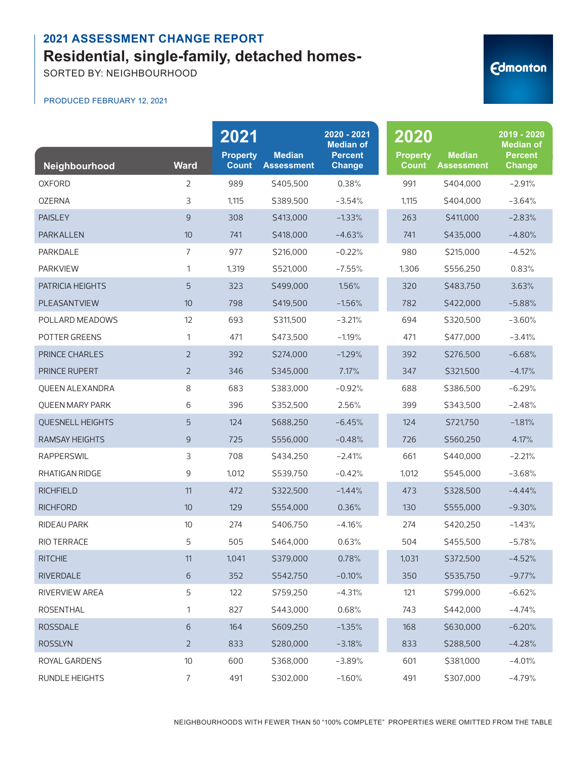SORTED BY: NEIGHBOURHOOD

#### PRODUCED FEBRUARY 12, 2021

| Neighbourhood           | <b>Ward</b>    | 2021<br><b>Property</b><br><b>Count</b> | <b>Median</b><br><b>Assessment</b> | 2020 - 2021<br><b>Median of</b><br><b>Percent</b><br><b>Change</b> | 2020<br><b>Property</b><br><b>Count</b> | <b>Median</b><br><b>Assessment</b> | 2019 - 2020<br><b>Median of</b><br><b>Percent</b><br><b>Change</b> |
|-------------------------|----------------|-----------------------------------------|------------------------------------|--------------------------------------------------------------------|-----------------------------------------|------------------------------------|--------------------------------------------------------------------|
| <b>OXFORD</b>           | $\overline{2}$ | 989                                     | \$405,500                          | 0.38%                                                              | 991                                     | \$404,000                          | $-2.91%$                                                           |
| <b>OZERNA</b>           | 3              | 1,115                                   | \$389,500                          | $-3.54%$                                                           | 1,115                                   | \$404,000                          | $-3.64%$                                                           |
| <b>PAISLEY</b>          | 9              | 308                                     | S413,000                           | $-1.33%$                                                           | 263                                     | \$411,000                          | $-2.83%$                                                           |
| PARKALLEN               | 10             | 741                                     | \$418,000                          | $-4.63%$                                                           | 741                                     | \$435,000                          | $-4.80%$                                                           |
| <b>PARKDALE</b>         | $\overline{7}$ | 977                                     | \$216,000                          | $-0.22%$                                                           | 980                                     | \$215,000                          | $-4.52%$                                                           |
| <b>PARKVIEW</b>         | 1              | 1,319                                   | \$521,000                          | $-7.55%$                                                           | 1,306                                   | \$556,250                          | 0.83%                                                              |
| PATRICIA HEIGHTS        | 5              | 323                                     | \$499,000                          | 1.56%                                                              | 320                                     | \$483,750                          | 3.63%                                                              |
| PLEASANTVIEW            | 10             | 798                                     | \$419,500                          | $-1.56%$                                                           | 782                                     | \$422,000                          | $-5.88%$                                                           |
| POLLARD MEADOWS         | 12             | 693                                     | \$311,500                          | $-3.21%$                                                           | 694                                     | \$320,500                          | $-3.60%$                                                           |
| <b>POTTER GREENS</b>    | 1              | 471                                     | \$473,500                          | $-1.19%$                                                           | 471                                     | \$477,000                          | $-3.41%$                                                           |
| <b>PRINCE CHARLES</b>   | $\overline{2}$ | 392                                     | \$274,000                          | $-1.29%$                                                           | 392                                     | \$276,500                          | $-6.68%$                                                           |
| PRINCE RUPERT           | $\overline{2}$ | 346                                     | \$345,000                          | 7.17%                                                              | 347                                     | \$321,500                          | $-4.17%$                                                           |
| <b>QUEEN ALEXANDRA</b>  | 8              | 683                                     | \$383,000                          | $-0.92%$                                                           | 688                                     | \$386,500                          | $-6.29%$                                                           |
| <b>QUEEN MARY PARK</b>  | 6              | 396                                     | \$352,500                          | 2.56%                                                              | 399                                     | \$343,500                          | $-2.48%$                                                           |
| <b>QUESNELL HEIGHTS</b> | 5              | 124                                     | \$688,250                          | $-6.45%$                                                           | 124                                     | \$721,750                          | $-1.81%$                                                           |
| <b>RAMSAY HEIGHTS</b>   | 9              | 725                                     | \$556,000                          | $-0.48%$                                                           | 726                                     | \$560,250                          | 4.17%                                                              |
| <b>RAPPERSWIL</b>       | 3              | 708                                     | \$434,250                          | $-2.41%$                                                           | 661                                     | \$440,000                          | $-2.21%$                                                           |
| RHATIGAN RIDGE          | 9              | 1,012                                   | \$539,750                          | $-0.42%$                                                           | 1,012                                   | \$545,000                          | $-3.68%$                                                           |
| <b>RICHFIELD</b>        | 11             | 472                                     | \$322,500                          | $-1.44%$                                                           | 473                                     | \$328,500                          | $-4.44%$                                                           |
| <b>RICHFORD</b>         | 10             | 129                                     | \$554,000                          | 0.36%                                                              | 130                                     | \$555,000                          | $-9.30%$                                                           |
| <b>RIDEAU PARK</b>      | 10             | 274                                     | \$406,750                          | $-4.16%$                                                           | 274                                     | \$420,250                          | $-1.43%$                                                           |
| RIO TERRACE             | 5              | 505                                     | \$464,000                          | 0.63%                                                              | 504                                     | \$455,500                          | $-5.78%$                                                           |
| <b>RITCHIE</b>          | 11             | 1,041                                   | \$379,000                          | 0.78%                                                              | 1,031                                   | \$372,500                          | $-4.52%$                                                           |
| RIVERDALE               | 6              | 352                                     | \$542,750                          | $-0.10%$                                                           | 350                                     | \$535,750                          | $-9.77%$                                                           |
| RIVERVIEW AREA          | 5              | 122                                     | \$759,250                          | $-4.31%$                                                           | 121                                     | \$799,000                          | $-6.62%$                                                           |
| ROSENTHAL               | 1              | 827                                     | \$443,000                          | 0.68%                                                              | 743                                     | \$442,000                          | $-4.74%$                                                           |
| <b>ROSSDALE</b>         | 6              | 164                                     | \$609,250                          | $-1.35%$                                                           | 168                                     | \$630,000                          | $-6.20%$                                                           |
| <b>ROSSLYN</b>          | $\overline{2}$ | 833                                     | \$280,000                          | $-3.18%$                                                           | 833                                     | \$288,500                          | $-4.28%$                                                           |
| ROYAL GARDENS           | $10$           | 600                                     | \$368,000                          | $-3.89%$                                                           | 601                                     | \$381,000                          | $-4.01%$                                                           |
| RUNDLE HEIGHTS          | $\overline{7}$ | 491                                     | \$302,000                          | $-1.60%$                                                           | 491                                     | \$307,000                          | $-4.79%$                                                           |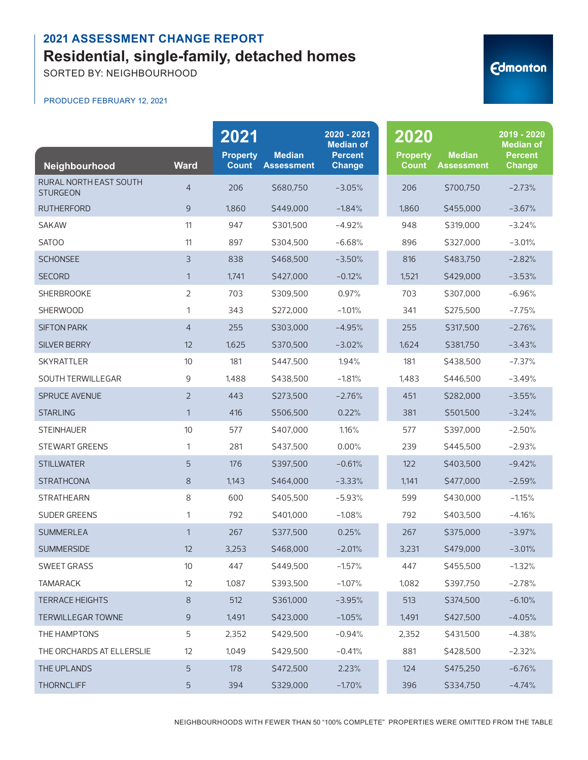SORTED BY: NEIGHBOURHOOD

#### PRODUCED FEBRUARY 12, 2021

| Neighbourhood                                    | <b>Ward</b>    | 2021<br><b>Property</b><br><b>Count</b> | <b>Median</b><br><b>Assessment</b> | 2020 - 2021<br><b>Median of</b><br><b>Percent</b><br><b>Change</b> | 2020<br><b>Property</b><br><b>Count</b> | <b>Median</b><br><b>Assessment</b> | 2019 - 2020<br><b>Median of</b><br><b>Percent</b><br><b>Change</b> |
|--------------------------------------------------|----------------|-----------------------------------------|------------------------------------|--------------------------------------------------------------------|-----------------------------------------|------------------------------------|--------------------------------------------------------------------|
| <b>RURAL NORTH EAST SOUTH</b><br><b>STURGEON</b> | $\overline{4}$ | 206                                     | \$680,750                          | $-3.05%$                                                           | 206                                     | \$700,750                          | $-2.73%$                                                           |
| <b>RUTHERFORD</b>                                | 9              | 1,860                                   | \$449,000                          | $-1.84%$                                                           | 1,860                                   | \$455,000                          | $-3.67%$                                                           |
| <b>SAKAW</b>                                     | 11             | 947                                     | \$301,500                          | $-4.92%$                                                           | 948                                     | \$319,000                          | $-3.24%$                                                           |
| SATOO                                            | 11             | 897                                     | \$304,500                          | $-6.68%$                                                           | 896                                     | \$327,000                          | $-3.01%$                                                           |
| <b>SCHONSEE</b>                                  | 3              | 838                                     | \$468,500                          | $-3.50%$                                                           | 816                                     | \$483,750                          | $-2.82%$                                                           |
| <b>SECORD</b>                                    | $\mathbf{1}$   | 1,741                                   | \$427,000                          | $-0.12%$                                                           | 1,521                                   | \$429,000                          | $-3.53%$                                                           |
| <b>SHERBROOKE</b>                                | $\overline{2}$ | 703                                     | \$309,500                          | 0.97%                                                              | 703                                     | \$307,000                          | $-6.96%$                                                           |
| <b>SHERWOOD</b>                                  | 1              | 343                                     | \$272,000                          | $-1.01%$                                                           | 341                                     | \$275,500                          | $-7.75%$                                                           |
| <b>SIFTON PARK</b>                               | $\overline{4}$ | 255                                     | \$303,000                          | $-4.95%$                                                           | 255                                     | \$317,500                          | $-2.76%$                                                           |
| <b>SILVER BERRY</b>                              | 12             | 1,625                                   | \$370,500                          | $-3.02%$                                                           | 1,624                                   | \$381,750                          | $-3.43%$                                                           |
| <b>SKYRATTLER</b>                                | 10             | 181                                     | \$447,500                          | 1.94%                                                              | 181                                     | \$438,500                          | $-7.37%$                                                           |
| SOUTH TERWILLEGAR                                | 9              | 1,488                                   | \$438,500                          | $-1.81%$                                                           | 1,483                                   | \$446,500                          | $-3.49%$                                                           |
| <b>SPRUCE AVENUE</b>                             | $\overline{2}$ | 443                                     | \$273,500                          | $-2.76%$                                                           | 451                                     | \$282,000                          | $-3.55%$                                                           |
| <b>STARLING</b>                                  | $\mathbf{1}$   | 416                                     | \$506,500                          | 0.22%                                                              | 381                                     | \$501,500                          | $-3.24%$                                                           |
| <b>STEINHAUER</b>                                | 10             | 577                                     | \$407,000                          | 1.16%                                                              | 577                                     | \$397,000                          | $-2.50%$                                                           |
| <b>STEWART GREENS</b>                            | 1              | 281                                     | \$437,500                          | 0.00%                                                              | 239                                     | \$445,500                          | $-2.93%$                                                           |
| <b>STILLWATER</b>                                | 5              | 176                                     | \$397,500                          | $-0.61%$                                                           | 122                                     | \$403,500                          | $-9.42%$                                                           |
| <b>STRATHCONA</b>                                | $8\,$          | 1,143                                   | \$464,000                          | $-3.33%$                                                           | 1,141                                   | \$477,000                          | $-2.59%$                                                           |
| <b>STRATHEARN</b>                                | 8              | 600                                     | \$405,500                          | $-5.93%$                                                           | 599                                     | \$430,000                          | $-1.15%$                                                           |
| <b>SUDER GREENS</b>                              | 1              | 792                                     | \$401,000                          | $-1.08%$                                                           | 792                                     | \$403,500                          | $-4.16%$                                                           |
| <b>SUMMERLEA</b>                                 | $\mathbf{1}$   | 267                                     | \$377,500                          | 0.25%                                                              | 267                                     | \$375,000                          | $-3.97%$                                                           |
| SUMMERSIDE                                       | 12             | 3,253                                   | \$468,000                          | $-2.01%$                                                           | 3,231                                   | \$479,000                          | $-3.01%$                                                           |
| SWEET GRASS                                      | 10             | 447                                     | \$449,500                          | $-1.57%$                                                           | 447                                     | \$455,500                          | $-1.32%$                                                           |
| <b>TAMARACK</b>                                  | 12             | 1,087                                   | \$393,500                          | $-1.07%$                                                           | 1,082                                   | \$397,750                          | $-2.78%$                                                           |
| <b>TERRACE HEIGHTS</b>                           | $8\,$          | 512                                     | \$361,000                          | $-3.95%$                                                           | 513                                     | \$374,500                          | $-6.10%$                                                           |
| <b>TERWILLEGAR TOWNE</b>                         | 9              | 1,491                                   | \$423,000                          | $-1.05%$                                                           | 1,491                                   | \$427,500                          | $-4.05%$                                                           |
| THE HAMPTONS                                     | 5              | 2,352                                   | \$429,500                          | $-0.94%$                                                           | 2,352                                   | \$431,500                          | $-4.38%$                                                           |
| THE ORCHARDS AT ELLERSLIE                        | 12             | 1,049                                   | \$429,500                          | $-0.41%$                                                           | 881                                     | \$428,500                          | $-2.32%$                                                           |
| THE UPLANDS                                      | 5              | 178                                     | \$472,500                          | 2.23%                                                              | 124                                     | \$475,250                          | $-6.76%$                                                           |
| <b>THORNCLIFF</b>                                | 5              | 394                                     | \$329,000                          | $-1.70%$                                                           | 396                                     | \$334,750                          | $-4.74%$                                                           |